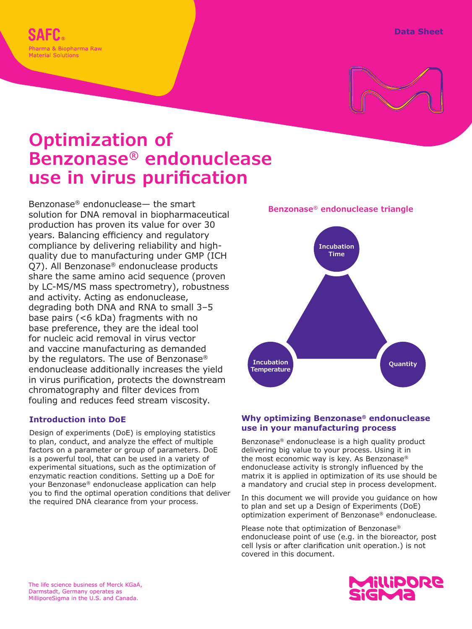



# **Optimization of Benzonase® endonuclease use in virus purification**

Benzonase® endonuclease— the smart solution for DNA removal in biopharmaceutical production has proven its value for over 30 years. Balancing efficiency and regulatory compliance by delivering reliability and highquality due to manufacturing under GMP (ICH Q7). All Benzonase® endonuclease products share the same amino acid sequence (proven by LC-MS/MS mass spectrometry), robustness and activity. Acting as endonuclease, degrading both DNA and RNA to small 3–5 base pairs (<6 kDa) fragments with no base preference, they are the ideal tool for nucleic acid removal in virus vector and vaccine manufacturing as demanded by the regulators. The use of Benzonase® endonuclease additionally increases the yield in virus purification, protects the downstream chromatography and filter devices from fouling and reduces feed stream viscosity.

## **Introduction into DoE**

Design of experiments (DoE) is employing statistics to plan, conduct, and analyze the effect of multiple factors on a parameter or group of parameters. DoE is a powerful tool, that can be used in a variety of experimental situations, such as the optimization of enzymatic reaction conditions. Setting up a DoE for your Benzonase® endonuclease application can help you to find the optimal operation conditions that deliver the required DNA clearance from your process.



#### **Why optimizing Benzonase® endonuclease use in your manufacturing process**

Benzonase® endonuclease is a high quality product delivering big value to your process. Using it in the most economic way is key. As Benzonase® endonuclease activity is strongly influenced by the matrix it is applied in optimization of its use should be a mandatory and crucial step in process development.

In this document we will provide you guidance on how to plan and set up a Design of Experiments (DoE)<br> **DESIGNAL** *participally constituent of Personage® andapysing* to plan and set up a Design of Experiments (DoE)<br>optimization experiment of Benzonase® endonuclease.

> Please note that optimization of Benzonase®<br>andervalaces noint of use (e.g. in the biaxenstar, nest endonuclease point of use (e.g. in the bioreactor, post cell lysis or after clarification unit operation.) is not covered in this document.

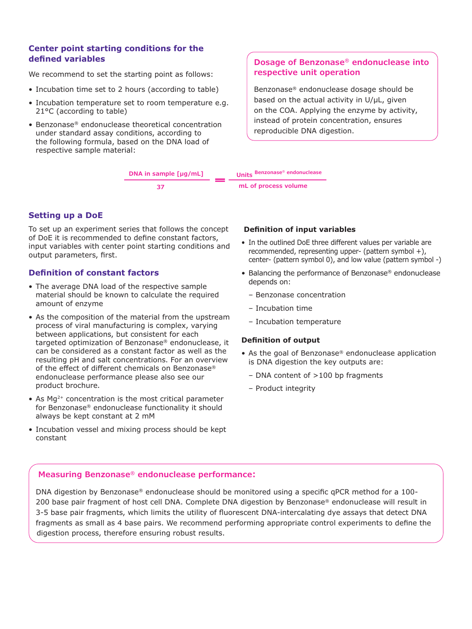#### **Center point starting conditions for the defined variables**

We recommend to set the starting point as follows:

- Incubation time set to 2 hours (according to table) **Be**
- Incubation temperature set to room temperature e.g. 21°C (according to table)
- Benzonase® endonuclease theoretical concentration under standard assay conditions, according to the following formula, based on the DNA load of respective sample material:

## **Dosage of Benzonase® endonuclease into respective unit operation**

Benzonase® endonuclease dosage should be based on the actual activity in U/µL, given on the COA. Applying the enzyme by activity, instead of protein concentration, ensures reproducible DNA digestion.

**DNA in sample [µg/mL] 37 Units Benzonase® endonuclease mL of process volume**

#### **Setting up a DoE**

To set up an experiment series that follows the concept of DoE it is recommended to define constant factors, input variables with center point starting conditions and output parameters, first.

#### **Definition of constant factors**

- The average DNA load of the respective sample material should be known to calculate the required amount of enzyme
- As the composition of the material from the upstream process of viral manufacturing is complex, varying between applications, but consistent for each targeted optimization of Benzonase® endonuclease, it can be considered as a constant factor as well as the resulting pH and salt concentrations. For an overview of the effect of different chemicals on Benzonase® endonuclease performance please also see our product brochure.
- As  $Mq^{2+}$  concentration is the most critical parameter for Benzonase® endonuclease functionality it should always be kept constant at 2 mM
- Incubation vessel and mixing process should be kept constant

#### **Definition of input variables**

- In the outlined DoE three different values per variable are recommended, representing upper- (pattern symbol +), center- (pattern symbol 0), and low value (pattern symbol -)
- Balancing the performance of Benzonase® endonuclease depends on:
	- Benzonase concentration
	- Incubation time
	- Incubation temperature

#### **Definition of output**

- As the goal of Benzonase® endonuclease application is DNA digestion the key outputs are:
	- DNA content of >100 bp fragments
	- Product integrity

#### **Measuring Benzonase® endonuclease performance:**

DNA digestion by Benzonase® endonuclease should be monitored using a specific qPCR method for a 100-200 base pair fragment of host cell DNA. Complete DNA digestion by Benzonase® endonuclease will result in 3-5 base pair fragments, which limits the utility of fluorescent DNA-intercalating dye assays that detect DNA fragments as small as 4 base pairs. We recommend performing appropriate control experiments to define the digestion process, therefore ensuring robust results.